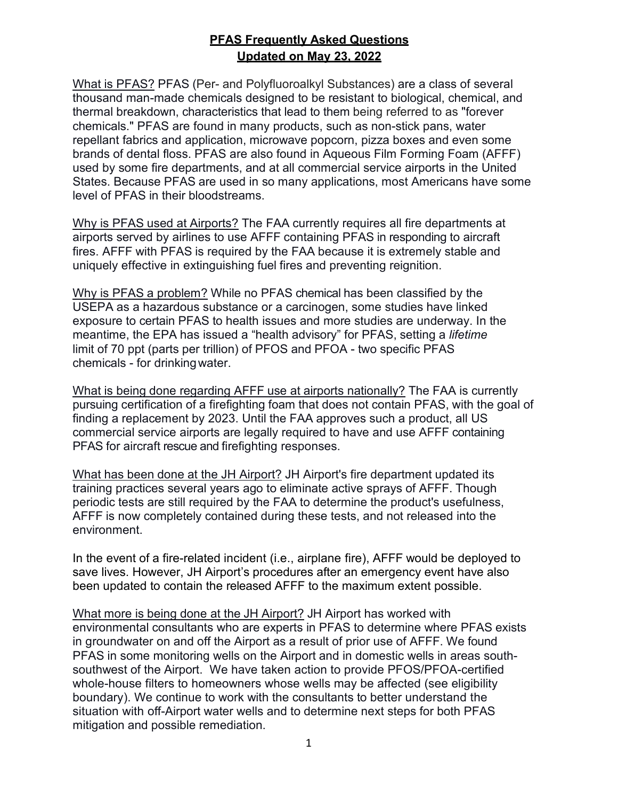## **PFAS Frequently Asked Questions Updated on May 23, 2022**

What is PFAS? PFAS (Per- and Polyfluoroalkyl Substances) are a class of several thousand man-made chemicals designed to be resistant to biological, chemical, and thermal breakdown, characteristics that lead to them being referred to as "forever chemicals." PFAS are found in many products, such as non-stick pans, water repellant fabrics and application, microwave popcorn, pizza boxes and even some brands of dental floss. PFAS are also found in Aqueous Film Forming Foam (AFFF) used by some fire departments, and at all commercial service airports in the United States. Because PFAS are used in so many applications, most Americans have some level of PFAS in their bloodstreams.

Why is PFAS used at Airports? The FAA currently requires all fire departments at airports served by airlines to use AFFF containing PFAS in responding to aircraft fires. AFFF with PFAS is required by the FAA because it is extremely stable and uniquely effective in extinguishing fuel fires and preventing reignition.

Why is PFAS a problem? While no PFAS chemical has been classified by the USEPA as a hazardous substance or a carcinogen, some studies have linked exposure to certain PFAS to health issues and more studies are underway. In the meantime, the EPA has issued a "health advisory" for PFAS, setting a *lifetime*  limit of 70 ppt (parts per trillion) of PFOS and PFOA - two specific PFAS chemicals - for drinking water.

What is being done regarding AFFF use at airports nationally? The FAA is currently pursuing certification of a firefighting foam that does not contain PFAS, with the goal of finding a replacement by 2023. Until the FAA approves such a product, all US commercial service airports are legally required to have and use AFFF containing PFAS for aircraft rescue and firefighting responses.

What has been done at the JH Airport? JH Airport's fire department updated its training practices several years ago to eliminate active sprays of AFFF. Though periodic tests are still required by the FAA to determine the product's usefulness, AFFF is now completely contained during these tests, and not released into the environment.

In the event of a fire-related incident (i.e., airplane fire), AFFF would be deployed to save lives. However, JH Airport's procedures after an emergency event have also been updated to contain the released AFFF to the maximum extent possible.

What more is being done at the JH Airport? JH Airport has worked with environmental consultants who are experts in PFAS to determine where PFAS exists in groundwater on and off the Airport as a result of prior use of AFFF. We found PFAS in some monitoring wells on the Airport and in domestic wells in areas southsouthwest of the Airport. We have taken action to provide PFOS/PFOA-certified whole-house filters to homeowners whose wells may be affected (see eligibility boundary). We continue to work with the consultants to better understand the situation with off-Airport water wells and to determine next steps for both PFAS mitigation and possible remediation.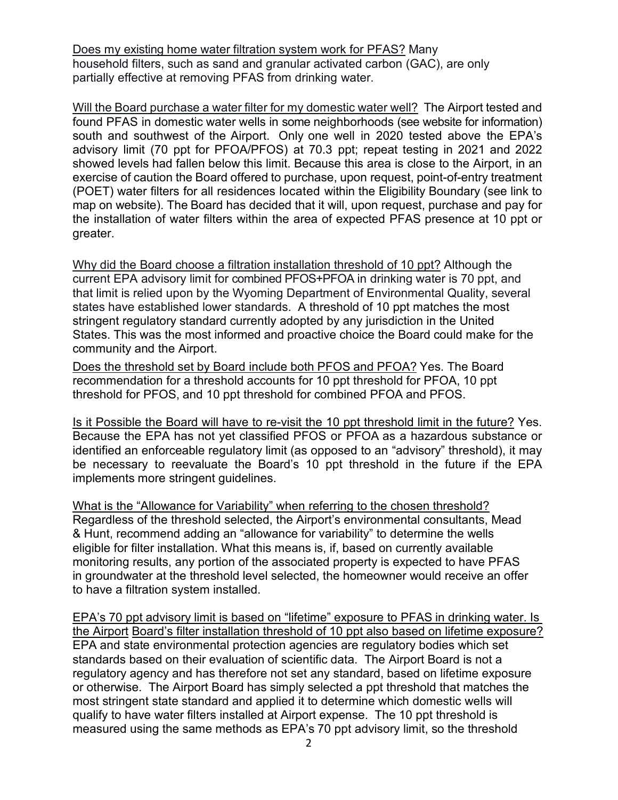Does my existing home water filtration system work for PFAS? Many household filters, such as sand and granular activated carbon (GAC), are only partially effective at removing PFAS from drinking water.

Will the Board purchase a water filter for my domestic water well? The Airport tested and found PFAS in domestic water wells in some neighborhoods (see website for information) south and southwest of the Airport. Only one well in 2020 tested above the EPA's advisory limit (70 ppt for PFOA/PFOS) at 70.3 ppt; repeat testing in 2021 and 2022 showed levels had fallen below this limit. Because this area is close to the Airport, in an exercise of caution the Board offered to purchase, upon request, point-of-entry treatment (POET) water filters for all residences located within the Eligibility Boundary (see link to map on website). The Board has decided that it will, upon request, purchase and pay for the installation of water filters within the area of expected PFAS presence at 10 ppt or greater.

Why did the Board choose a filtration installation threshold of 10 ppt? Although the current EPA advisory limit for combined PFOS+PFOA in drinking water is 70 ppt, and that limit is relied upon by the Wyoming Department of Environmental Quality, several states have established lower standards. A threshold of 10 ppt matches the most stringent regulatory standard currently adopted by any jurisdiction in the United States. This was the most informed and proactive choice the Board could make for the community and the Airport.

Does the threshold set by Board include both PFOS and PFOA? Yes. The Board recommendation for a threshold accounts for 10 ppt threshold for PFOA, 10 ppt threshold for PFOS, and 10 ppt threshold for combined PFOA and PFOS.

Is it Possible the Board will have to re-visit the 10 ppt threshold limit in the future? Yes. Because the EPA has not yet classified PFOS or PFOA as a hazardous substance or identified an enforceable regulatory limit (as opposed to an "advisory" threshold), it may be necessary to reevaluate the Board's 10 ppt threshold in the future if the EPA implements more stringent guidelines.

What is the "Allowance for Variability" when referring to the chosen threshold? Regardless of the threshold selected, the Airport's environmental consultants, Mead & Hunt, recommend adding an "allowance for variability" to determine the wells eligible for filter installation. What this means is, if, based on currently available monitoring results, any portion of the associated property is expected to have PFAS in groundwater at the threshold level selected, the homeowner would receive an offer to have a filtration system installed.

EPA's 70 ppt advisory limit is based on "lifetime" exposure to PFAS in drinking water. Is the Airport Board's filter installation threshold of 10 ppt also based on lifetime exposure? EPA and state environmental protection agencies are regulatory bodies which set standards based on their evaluation of scientific data. The Airport Board is not a regulatory agency and has therefore not set any standard, based on lifetime exposure or otherwise. The Airport Board has simply selected a ppt threshold that matches the most stringent state standard and applied it to determine which domestic wells will qualify to have water filters installed at Airport expense. The 10 ppt threshold is measured using the same methods as EPA's 70 ppt advisory limit, so the threshold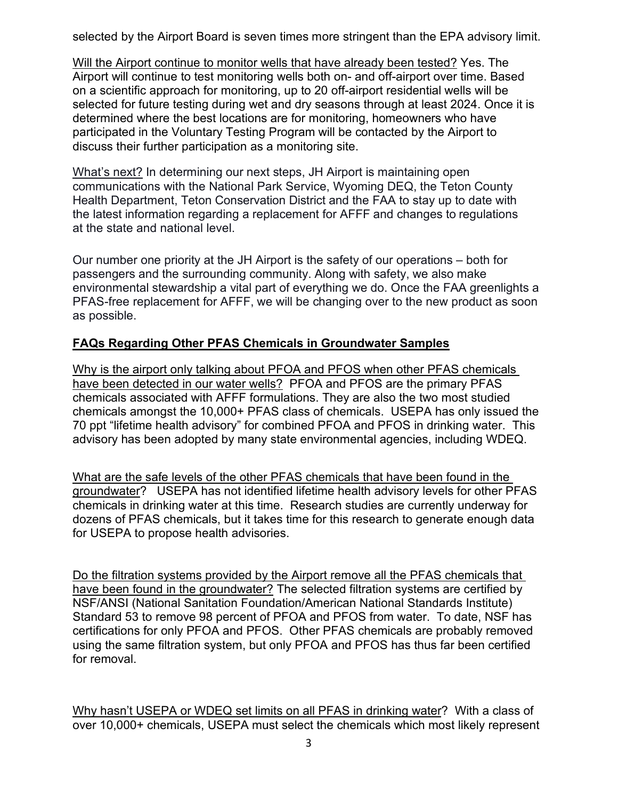selected by the Airport Board is seven times more stringent than the EPA advisory limit.

Will the Airport continue to monitor wells that have already been tested? Yes. The Airport will continue to test monitoring wells both on- and off-airport over time. Based on a scientific approach for monitoring, up to 20 off-airport residential wells will be selected for future testing during wet and dry seasons through at least 2024. Once it is determined where the best locations are for monitoring, homeowners who have participated in the Voluntary Testing Program will be contacted by the Airport to discuss their further participation as a monitoring site.

What's next? In determining our next steps, JH Airport is maintaining open communications with the National Park Service, Wyoming DEQ, the Teton County Health Department, Teton Conservation District and the FAA to stay up to date with the latest information regarding a replacement for AFFF and changes to regulations at the state and national level.

Our number one priority at the JH Airport is the safety of our operations – both for passengers and the surrounding community. Along with safety, we also make environmental stewardship a vital part of everything we do. Once the FAA greenlights a PFAS-free replacement for AFFF, we will be changing over to the new product as soon as possible.

## **FAQs Regarding Other PFAS Chemicals in Groundwater Samples**

Why is the airport only talking about PFOA and PFOS when other PFAS chemicals have been detected in our water wells? PFOA and PFOS are the primary PFAS chemicals associated with AFFF formulations. They are also the two most studied chemicals amongst the 10,000+ PFAS class of chemicals. USEPA has only issued the 70 ppt "lifetime health advisory" for combined PFOA and PFOS in drinking water. This advisory has been adopted by many state environmental agencies, including WDEQ.

What are the safe levels of the other PFAS chemicals that have been found in the groundwater? USEPA has not identified lifetime health advisory levels for other PFAS chemicals in drinking water at this time. Research studies are currently underway for dozens of PFAS chemicals, but it takes time for this research to generate enough data for USEPA to propose health advisories.

Do the filtration systems provided by the Airport remove all the PFAS chemicals that have been found in the groundwater? The selected filtration systems are certified by NSF/ANSI (National Sanitation Foundation/American National Standards Institute) Standard 53 to remove 98 percent of PFOA and PFOS from water. To date, NSF has certifications for only PFOA and PFOS. Other PFAS chemicals are probably removed using the same filtration system, but only PFOA and PFOS has thus far been certified for removal.

Why hasn't USEPA or WDEQ set limits on all PFAS in drinking water? With a class of over 10,000+ chemicals, USEPA must select the chemicals which most likely represent